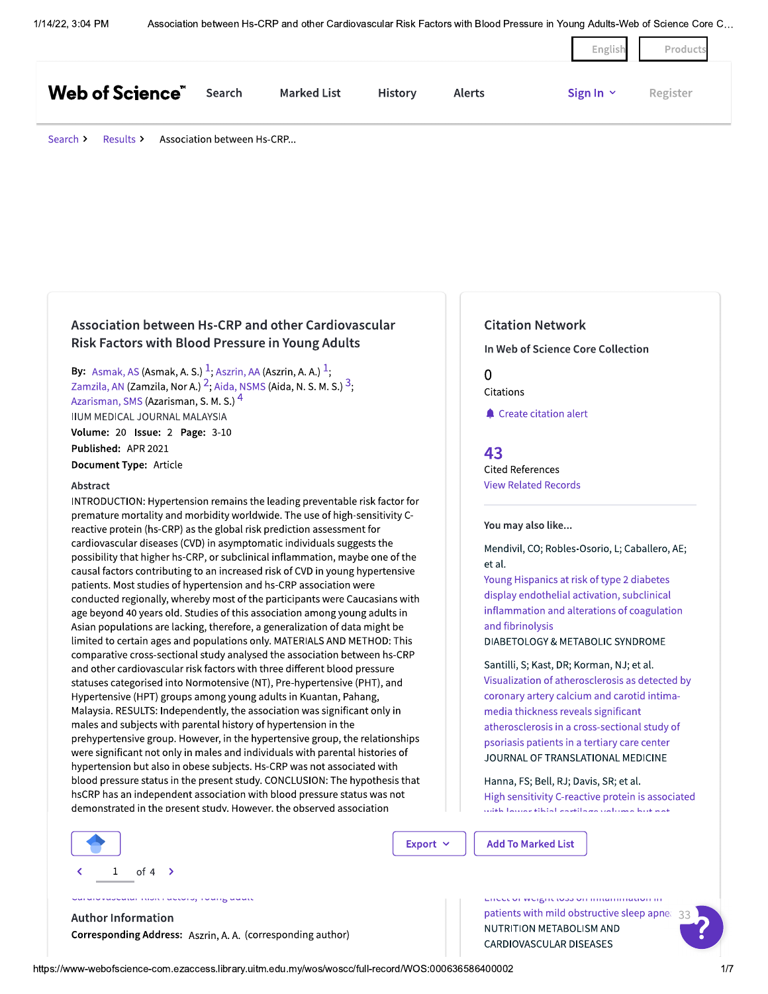| /14/22, 3:04 PM                            |        |                    |         |        | Association between Hs-CRP and other Cardiovascular Risk Factors with Blood Pressure in Young Adults-Web of Science Core C<br>English | Products |
|--------------------------------------------|--------|--------------------|---------|--------|---------------------------------------------------------------------------------------------------------------------------------------|----------|
| Web of Science"                            | Search | <b>Marked List</b> | History | Alerts | Sign In $\sim$                                                                                                                        | Register |
| Coarely Desulta Mesociation between Us CDD |        |                    |         |        |                                                                                                                                       |          |

## Association between Hs-CRP and other Cardiovascular Risk Factors with Blood Pressure in Young Adults

**By:** Asmak, AS (Asmak, A. S.)  $\frac{1}{2}$ ; Aszrin, AA (Aszrin, A. A.)  $\frac{1}{2}$ ; Zamzila, AN (Zamzila, Nor A.) <sup>2</sup>; Aida, NSMS (Aida, N. S. M. S.) <sup>3</sup>; Azarisman, SMS (Azarisman, S. M. S.) <sup>4</sup> **IIUM MEDICAL JOURNAL MALAYSIA** Volume: 20 Issue: 2 Page: 3-10 Published: APR 2021 Document Type: Article

## Abstract

#### INTRODUCTION: Hypertension remains the leading preventable risk factor for premature mortality and morbidity worldwide. The use of high-sensitivity Creactive protein (hs-CRP) as the global risk prediction assessment for cardiovascular diseases (CVD) in asymptomatic individuals suggests the possibility that higher hs-CRP, or subclinical inflammation, maybe one of the causal factors contributing to an increased risk of CVD in young hypertensive patients. Most studies of hypertension and hs-CRP association were conducted regionally, whereby most of the participants were Caucasians with age beyond 40 years old. Studies of this association among young adults in Asian populations are lacking, therefore, a generalization of data might be limited to certain ages and populations only. MATERIALS AND METHOD: This comparative cross-sectional study analysed the association between hs-CRP and other cardiovascular risk factors with three different blood pressure statuses categorised into Normotensive (NT), Pre-hypertensive (PHT), and Hypertensive (HPT) groups among young adults in Kuantan, Pahang, Malaysia. RESULTS: Independently, the association was significant only in males and subjects with parental history of hypertension in the prehypertensive group. However, in the hypertensive group, the relationships were significant not only in males and individuals with parental histories of hypertension but also in obese subjects. Hs-CRP was not associated with blood pressure status in the present study. CONCLUSION: The hypothesis that hsCRP has an independent association with blood pressure status was not demonstrated in the present study. However, the observed association

# $\begin{array}{cc} \leftarrow & 1 & \text{ of } 4 \end{array}$ J^P[L\SeTL\ZKfEA9;5B;A>AA>GF:568>A5H7@>5ABlE57>5B;A@Bl DOGS B6g57i58 and the set of the set of the set of the set of the set of the set of the set of the set of the set of the set of the set of the set of the set of the set of the set of the set of the set of the set of the se

Author Information<br>
Consumer and Level, Level School and Level School and Level School and Level School and Corresponding<br>
https://www-webofscience-com.ezaccess.library.uitm.edu.my/w prresponding author)<br>tm.edu.my/wos/woscc/full-record/WOS:00063<br>. Author Information Corresponding Address: Aszrin, A. A. (corresponding author)

abelutus amerika bertua penang utun

#### **Citation Network**

In Web of Science Core Collection

 $\overline{0}$ Citations

Create citation alert

43<br>Cited References

**View Related Records** 

You may also like...

Mendivil, CO; Robles-Osorio, L; Caballero, AE; et al.

Young Hispanics at risk of type 2 diabetes display endothelial activation, subclinical inflammation and alterations of coagulation and fibrinolysis

DIABETOLOGY & METABOLIC SYNDROME

Santilli, S; Kast, DR; Korman, NJ; et al. Visualization of atherosclerosis as detected by coronary artery calcium and carotid intimamedia thickness reveals significant atherosclerosis in a cross-sectional study of psoriasis patients in a tertiary care center JOURNAL OF TRANSLATIONAL MEDICINE

Hanna, FS; Bell, RJ; Davis, SR; et al. High sensitivity C-reactive protein is associated DA>9=@D57>ACA6=867>A=65@=<g5C<>B@>

 $\overline{\phantom{0}}$ 

there or weight too on imitamination in patients with mild obstructive sleep apner NUTRITION METABOLISM AND CARDIOVASCULAR DISEASES

 $\frac{33}{4}$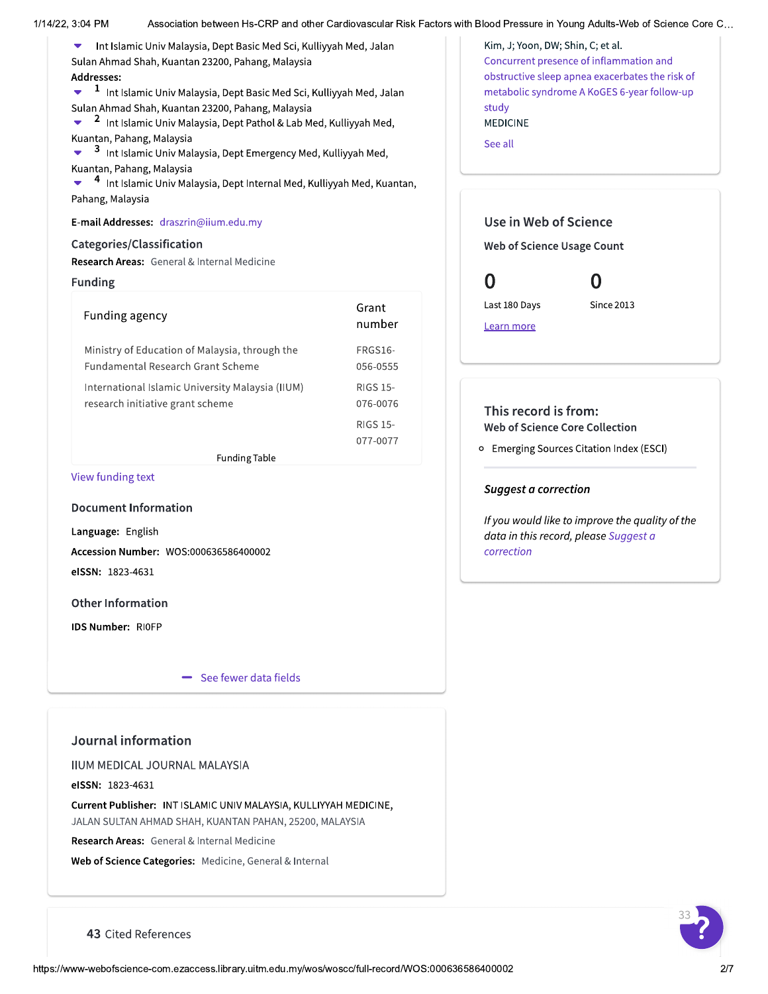| 1/14/22, 3:04 PM |  | Association between Hs-CRP and other Cardiovascular Risk Factors with Blood Pressure in Young Adults-Web of Science Core C. |
|------------------|--|-----------------------------------------------------------------------------------------------------------------------------|
|                  |  |                                                                                                                             |

| Int Islamic Univ Malaysia, Dept Basic Med Sci, Kulliyyah Med, Jalan<br>$\overline{\phantom{a}}$ |
|-------------------------------------------------------------------------------------------------|
| Sulan Ahmad Shah, Kuantan 23200, Pahang, Malaysia                                               |
| Addresses:                                                                                      |

 $^{\text{1}}\,$  Int Islamic Univ Malaysia, Dept Basic Med Sci, Kulliyyah Med, Jalan

Sulan Ahmad Shah, Kuantan 23200, Pahang, Malaysia<br> **•** <sup>2</sup> Int Islamic Univ Malaysia, Dept Pathol & Lab Med, Kulliyyah Med,<br>Kuantan, Pahang, Malaysia

 $\bullet$  3 Int Islamic Univ Malaysia, Dept Emergency Med, Kulliyyah Med, Kuantan, Pahang, Malaysia

 $\blacktriangleright$ <sup>4</sup> Int Islamic Univ Malaysia, Dept Internal Med, Kulliyyah Med, Kuantan, Pahang, Malaysia

## E-mail Addresses: draszrin@iium.edu.my

## Categories/Classification

Research Areas: General & Internal Medicine

#### Funding

| Funding agency                                                                             | Grant<br>number                                            | Last 180 Days<br>Learn more      |
|--------------------------------------------------------------------------------------------|------------------------------------------------------------|----------------------------------|
| Ministry of Education of Malaysia, through the<br><b>Fundamental Research Grant Scheme</b> | FRGS16-<br>056-0555                                        |                                  |
| International Islamic University Malaysia (IIUM)<br>research initiative grant scheme       | <b>RIGS 15-</b><br>076-0076<br><b>RIGS 15-</b><br>077-0077 | This recor<br><b>Web of Scie</b> |
| <b>Funding Table</b>                                                                       |                                                            | <b>o</b> Emerging S              |

View funding text

Document Information

Language: English

Accession Number: WOS:000636586400002 eISSN: 1823-4631

#### Other Information

IDS Number: RIOFP

 $-$  See fewer data fields

#### Journal information

1IUM MEDICAL JOURNAL MALAYSIA

eISSN: 1823-4631

Current Publisher: INT ISLAMIC UNIV MALAYSIA, KULLIYYAH MEDICINE, JALAN SULTAN AHMAD SHAH, KUANTAN PAHAN, 25200, MALAYSIA

Research Areas: General & Internal Medicine

Web of Science Categories: Medicine, General & Internal

ressure in Young Adults-Web of Science Core C...<br>I; Yoon, DW; Shin, C; et al.<br>urrent presence of inflammation and<br>uctive sleep apnea exacerbates the risk of<br>polic syndrome A KoGES 6-year follow-up<br>CINE Kim, J; Yoon, DW; Shin, C; et al. Concurrent presence of inflammation and obstructive sleep apnea exacerbates the risk of metabolic syndrome A KoGES 6-year follow-up study **MEDICINE** 

See all

## Use in Web of Science

Web of Science Usage Count

 $\mathbf{0}$   $\mathbf{0}$ Last 180 Days Since 2013

#### This record is from: Web of Science Core Collection

o Emerging Sources Citation Index (ESCI)

#### Suggest a correction

If you would like to improve the quality of the data in this record, please Suggest a correction



43 Cited References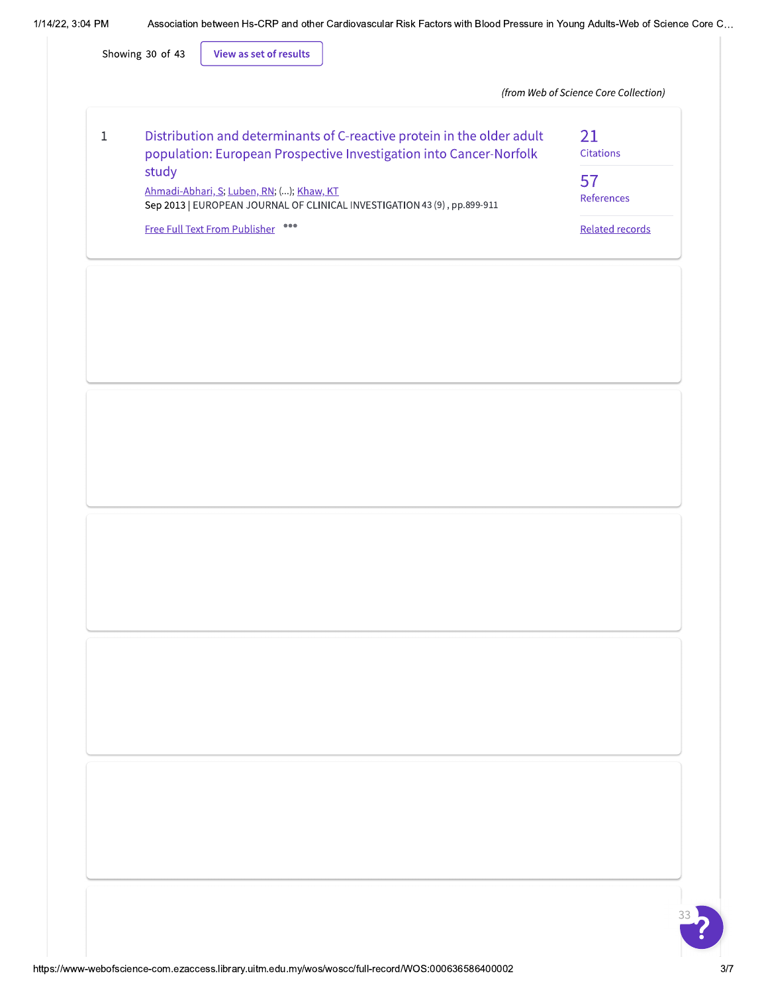|       | Showing 30 of 43 | View as set of results                                                                                                                       |                                       |  |
|-------|------------------|----------------------------------------------------------------------------------------------------------------------------------------------|---------------------------------------|--|
|       |                  |                                                                                                                                              | (from Web of Science Core Collection) |  |
| $1\,$ |                  | Distribution and determinants of C-reactive protein in the older adult<br>population: European Prospective Investigation into Cancer-Norfolk | 21<br>Citations                       |  |
|       | study            | Ahmadi-Abhari, S; Luben, RN; (); Khaw, KT                                                                                                    | 57<br>References                      |  |
|       |                  | Sep 2013   EUROPEAN JOURNAL OF CLINICAL INVESTIGATION 43 (9), pp.899-911<br><b>Free Full Text From Publisher</b><br>                         | Related records                       |  |
|       |                  |                                                                                                                                              |                                       |  |
|       |                  |                                                                                                                                              |                                       |  |
|       |                  |                                                                                                                                              |                                       |  |
|       |                  |                                                                                                                                              |                                       |  |
|       |                  |                                                                                                                                              |                                       |  |
|       |                  |                                                                                                                                              |                                       |  |
|       |                  |                                                                                                                                              |                                       |  |
|       |                  |                                                                                                                                              |                                       |  |
|       |                  |                                                                                                                                              |                                       |  |
|       |                  |                                                                                                                                              |                                       |  |
|       |                  |                                                                                                                                              |                                       |  |
|       |                  |                                                                                                                                              |                                       |  |
|       |                  |                                                                                                                                              |                                       |  |
|       |                  |                                                                                                                                              |                                       |  |
|       |                  |                                                                                                                                              |                                       |  |
|       |                  |                                                                                                                                              |                                       |  |
|       |                  |                                                                                                                                              |                                       |  |
|       |                  |                                                                                                                                              |                                       |  |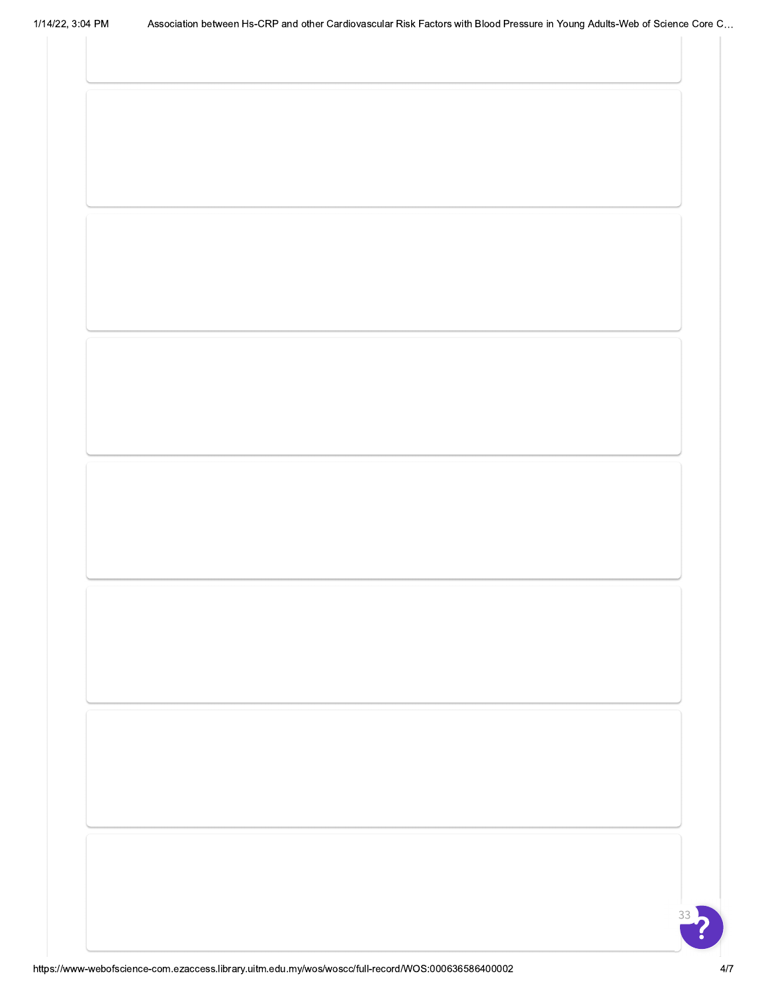| $\frac{33}{2}$ | <b>A</b> |
|----------------|----------|

 $\mathbb{L}$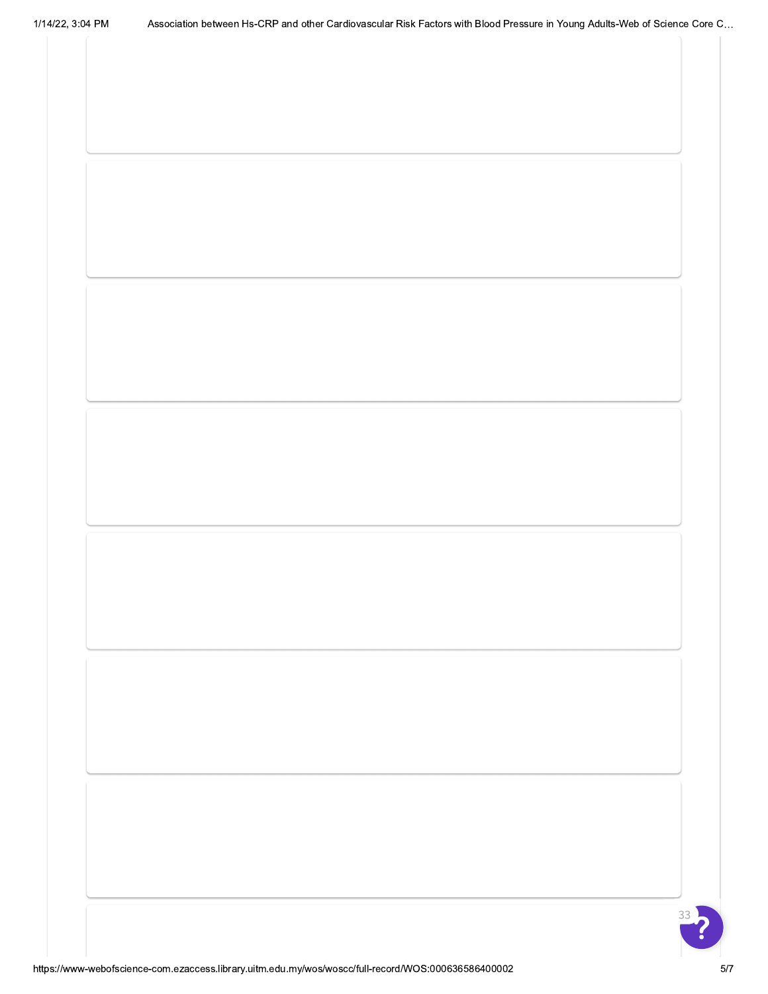|  |  | 33 |
|--|--|----|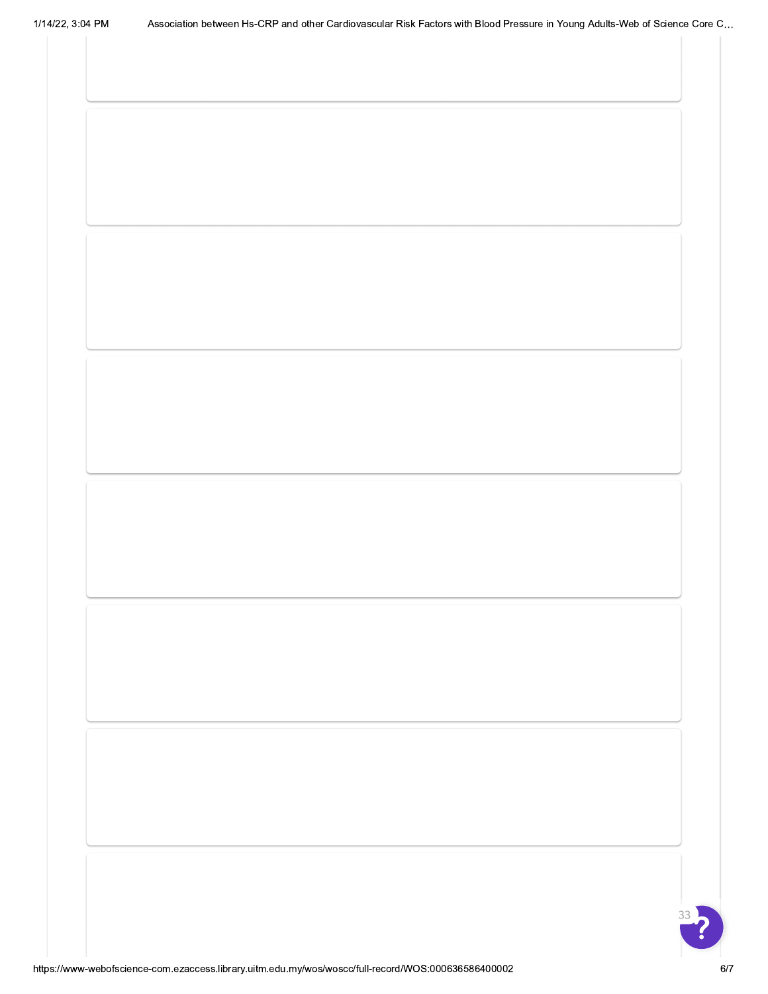$\begin{array}{c} \hline \end{array}$ 

| $33 \frac{1}{1}$<br>U |
|-----------------------|

 $\mathbb{L}$